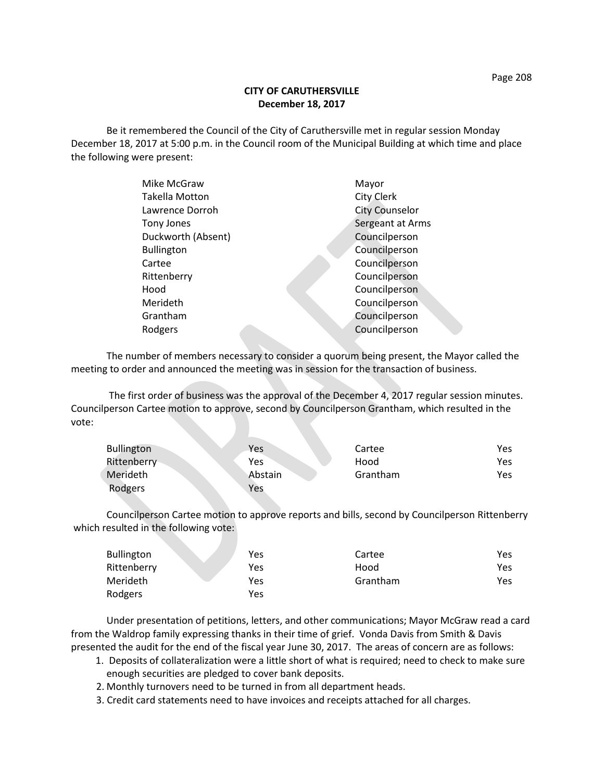## **CITY OF CARUTHERSVILLE December 18, 2017**

Be it remembered the Council of the City of Caruthersville met in regular session Monday December 18, 2017 at 5:00 p.m. in the Council room of the Municipal Building at which time and place the following were present:

| Mike McGraw           |  | Mayor                 |
|-----------------------|--|-----------------------|
| <b>Takella Motton</b> |  | <b>City Clerk</b>     |
| Lawrence Dorroh       |  | <b>City Counselor</b> |
| Tony Jones            |  | Sergeant at Arms      |
| Duckworth (Absent)    |  | Councilperson         |
| <b>Bullington</b>     |  | Councilperson         |
| Cartee                |  | Councilperson         |
| Rittenberry           |  | Councilperson         |
| Hood                  |  | Councilperson         |
| Merideth              |  | Councilperson         |
| Grantham              |  | Councilperson         |
| Rodgers               |  | Councilperson         |
|                       |  |                       |

The number of members necessary to consider a quorum being present, the Mayor called the meeting to order and announced the meeting was in session for the transaction of business.

The first order of business was the approval of the December 4, 2017 regular session minutes. Councilperson Cartee motion to approve, second by Councilperson Grantham, which resulted in the vote:

| <b>Bullington</b> | Yes     | Cartee   | Yes. |
|-------------------|---------|----------|------|
| Rittenberry       | Yes     | Hood     | Yes. |
| Merideth          | Abstain | Grantham | Yes  |
| Rodgers           | Yes     |          |      |

Councilperson Cartee motion to approve reports and bills, second by Councilperson Rittenberry which resulted in the following vote:

| <b>Bullington</b> | Yes | Cartee   | Yes |
|-------------------|-----|----------|-----|
| Rittenberry       | Yes | Hood     | Yes |
| Merideth          | Yes | Grantham | Yes |
| Rodgers           | Yes |          |     |

Under presentation of petitions, letters, and other communications; Mayor McGraw read a card from the Waldrop family expressing thanks in their time of grief. Vonda Davis from Smith & Davis presented the audit for the end of the fiscal year June 30, 2017. The areas of concern are as follows:

- 1. Deposits of collateralization were a little short of what is required; need to check to make sure enough securities are pledged to cover bank deposits.
- 2. Monthly turnovers need to be turned in from all department heads.
- 3. Credit card statements need to have invoices and receipts attached for all charges.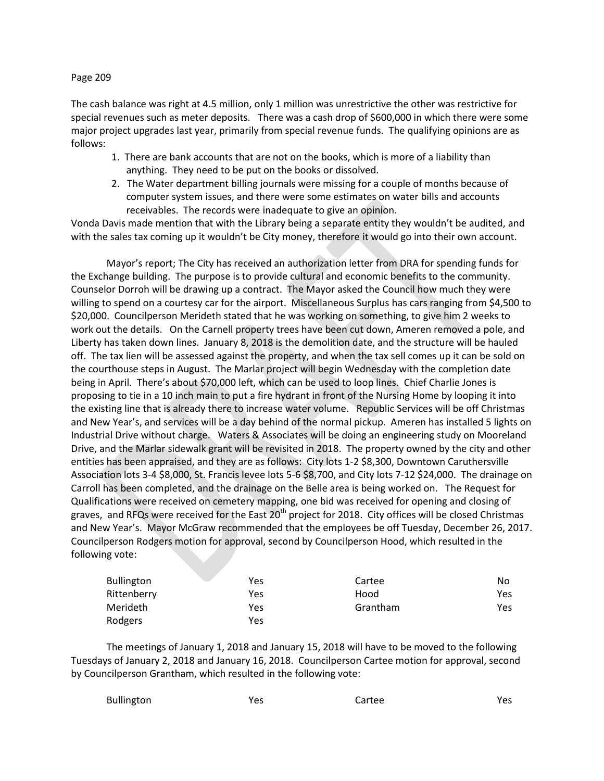## Page 209

The cash balance was right at 4.5 million, only 1 million was unrestrictive the other was restrictive for special revenues such as meter deposits. There was a cash drop of \$600,000 in which there were some major project upgrades last year, primarily from special revenue funds. The qualifying opinions are as follows:

- 1. There are bank accounts that are not on the books, which is more of a liability than anything. They need to be put on the books or dissolved.
- 2. The Water department billing journals were missing for a couple of months because of computer system issues, and there were some estimates on water bills and accounts receivables. The records were inadequate to give an opinion.

Vonda Davis made mention that with the Library being a separate entity they wouldn't be audited, and with the sales tax coming up it wouldn't be City money, therefore it would go into their own account.

Mayor's report; The City has received an authorization letter from DRA for spending funds for the Exchange building. The purpose is to provide cultural and economic benefits to the community. Counselor Dorroh will be drawing up a contract. The Mayor asked the Council how much they were willing to spend on a courtesy car for the airport. Miscellaneous Surplus has cars ranging from \$4,500 to \$20,000. Councilperson Merideth stated that he was working on something, to give him 2 weeks to work out the details. On the Carnell property trees have been cut down, Ameren removed a pole, and Liberty has taken down lines. January 8, 2018 is the demolition date, and the structure will be hauled off. The tax lien will be assessed against the property, and when the tax sell comes up it can be sold on the courthouse steps in August. The Marlar project will begin Wednesday with the completion date being in April. There's about \$70,000 left, which can be used to loop lines. Chief Charlie Jones is proposing to tie in a 10 inch main to put a fire hydrant in front of the Nursing Home by looping it into the existing line that is already there to increase water volume. Republic Services will be off Christmas and New Year's, and services will be a day behind of the normal pickup. Ameren has installed 5 lights on Industrial Drive without charge. Waters & Associates will be doing an engineering study on Mooreland Drive, and the Marlar sidewalk grant will be revisited in 2018. The property owned by the city and other entities has been appraised, and they are as follows: City lots 1-2 \$8,300, Downtown Caruthersville Association lots 3-4 \$8,000, St. Francis levee lots 5-6 \$8,700, and City lots 7-12 \$24,000. The drainage on Carroll has been completed, and the drainage on the Belle area is being worked on. The Request for Qualifications were received on cemetery mapping, one bid was received for opening and closing of graves, and RFQs were received for the East  $20<sup>th</sup>$  project for 2018. City offices will be closed Christmas and New Year's. Mayor McGraw recommended that the employees be off Tuesday, December 26, 2017. Councilperson Rodgers motion for approval, second by Councilperson Hood, which resulted in the following vote:

| <b>Bullington</b> | Yes | Cartee   | No  |
|-------------------|-----|----------|-----|
| Rittenberry       | Yes | Hood     | Yes |
| <b>Merideth</b>   | Yes | Grantham | Yes |
| Rodgers           | Yes |          |     |

The meetings of January 1, 2018 and January 15, 2018 will have to be moved to the following Tuesdays of January 2, 2018 and January 16, 2018. Councilperson Cartee motion for approval, second by Councilperson Grantham, which resulted in the following vote:

| Bullington | Yes | Cartee | Yes |
|------------|-----|--------|-----|
|------------|-----|--------|-----|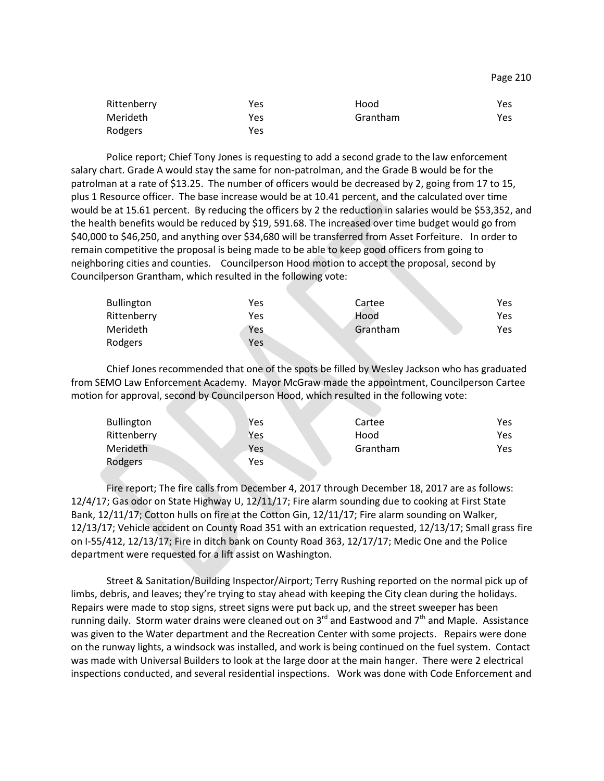| Rittenberry | Yes | Hood     | Yes |
|-------------|-----|----------|-----|
| Merideth    | Yes | Grantham | Yes |
| Rodgers     | Yes |          |     |

Police report; Chief Tony Jones is requesting to add a second grade to the law enforcement salary chart. Grade A would stay the same for non-patrolman, and the Grade B would be for the patrolman at a rate of \$13.25. The number of officers would be decreased by 2, going from 17 to 15, plus 1 Resource officer. The base increase would be at 10.41 percent, and the calculated over time would be at 15.61 percent. By reducing the officers by 2 the reduction in salaries would be \$53,352, and the health benefits would be reduced by \$19, 591.68. The increased over time budget would go from \$40,000 to \$46,250, and anything over \$34,680 will be transferred from Asset Forfeiture. In order to remain competitive the proposal is being made to be able to keep good officers from going to neighboring cities and counties. Councilperson Hood motion to accept the proposal, second by Councilperson Grantham, which resulted in the following vote:

| <b>Bullington</b> | Yes | Cartee   | Yes  |
|-------------------|-----|----------|------|
| Rittenberry       | Yes | Hood     | Yes. |
| <b>Merideth</b>   | Yes | Grantham | Yes  |
| Rodgers           | Yes |          |      |

Chief Jones recommended that one of the spots be filled by Wesley Jackson who has graduated from SEMO Law Enforcement Academy. Mayor McGraw made the appointment, Councilperson Cartee motion for approval, second by Councilperson Hood, which resulted in the following vote:

| <b>Bullington</b> | Yes | Cartee   | Yes. |
|-------------------|-----|----------|------|
| Rittenberry       | Yes | Hood     | Yes  |
| Merideth          | Yes | Grantham | Yes  |
| Rodgers           | Yes |          |      |

Fire report; The fire calls from December 4, 2017 through December 18, 2017 are as follows: 12/4/17; Gas odor on State Highway U, 12/11/17; Fire alarm sounding due to cooking at First State Bank, 12/11/17; Cotton hulls on fire at the Cotton Gin, 12/11/17; Fire alarm sounding on Walker, 12/13/17; Vehicle accident on County Road 351 with an extrication requested, 12/13/17; Small grass fire on I-55/412, 12/13/17; Fire in ditch bank on County Road 363, 12/17/17; Medic One and the Police department were requested for a lift assist on Washington.

Street & Sanitation/Building Inspector/Airport; Terry Rushing reported on the normal pick up of limbs, debris, and leaves; they're trying to stay ahead with keeping the City clean during the holidays. Repairs were made to stop signs, street signs were put back up, and the street sweeper has been running daily. Storm water drains were cleaned out on  $3^{rd}$  and Eastwood and  $7^{th}$  and Maple. Assistance was given to the Water department and the Recreation Center with some projects. Repairs were done on the runway lights, a windsock was installed, and work is being continued on the fuel system. Contact was made with Universal Builders to look at the large door at the main hanger. There were 2 electrical inspections conducted, and several residential inspections. Work was done with Code Enforcement and

Page 210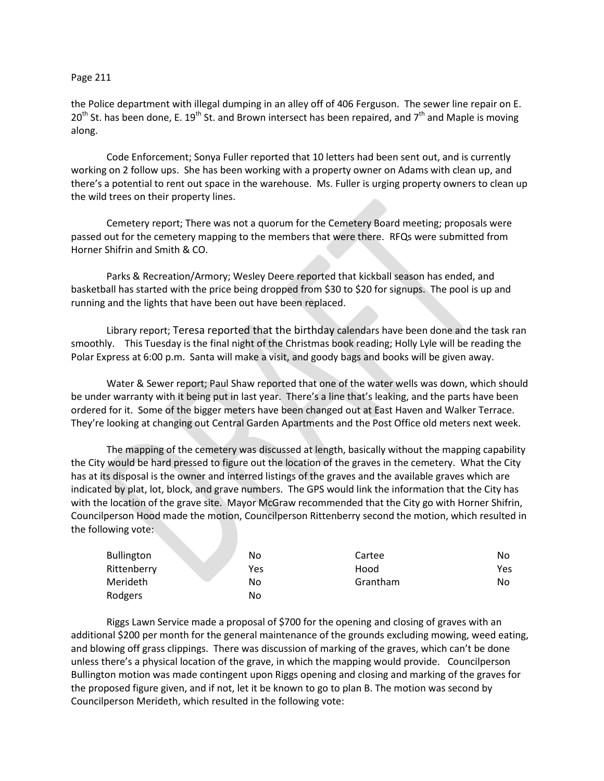## Page 211

the Police department with illegal dumping in an alley off of 406 Ferguson. The sewer line repair on E.  $20<sup>th</sup>$  St. has been done, E. 19<sup>th</sup> St. and Brown intersect has been repaired, and 7<sup>th</sup> and Maple is moving along.

Code Enforcement; Sonya Fuller reported that 10 letters had been sent out, and is currently working on 2 follow ups. She has been working with a property owner on Adams with clean up, and there's a potential to rent out space in the warehouse. Ms. Fuller is urging property owners to clean up the wild trees on their property lines.

Cemetery report; There was not a quorum for the Cemetery Board meeting; proposals were passed out for the cemetery mapping to the members that were there. RFQs were submitted from Horner Shifrin and Smith & CO.

Parks & Recreation/Armory; Wesley Deere reported that kickball season has ended, and basketball has started with the price being dropped from \$30 to \$20 for signups. The pool is up and running and the lights that have been out have been replaced.

Library report; Teresa reported that the birthday calendars have been done and the task ran smoothly. This Tuesday is the final night of the Christmas book reading; Holly Lyle will be reading the Polar Express at 6:00 p.m. Santa will make a visit, and goody bags and books will be given away.

Water & Sewer report; Paul Shaw reported that one of the water wells was down, which should be under warranty with it being put in last year. There's a line that's leaking, and the parts have been ordered for it. Some of the bigger meters have been changed out at East Haven and Walker Terrace. They're looking at changing out Central Garden Apartments and the Post Office old meters next week.

The mapping of the cemetery was discussed at length, basically without the mapping capability the City would be hard pressed to figure out the location of the graves in the cemetery. What the City has at its disposal is the owner and interred listings of the graves and the available graves which are indicated by plat, lot, block, and grave numbers. The GPS would link the information that the City has with the location of the grave site. Mayor McGraw recommended that the City go with Horner Shifrin, Councilperson Hood made the motion, Councilperson Rittenberry second the motion, which resulted in the following vote:

| Bullington  | No  | Cartee   | No  |
|-------------|-----|----------|-----|
| Rittenberry | Yes | Hood     | Yes |
| Merideth    | No  | Grantham | No  |
| Rodgers     | No  |          |     |

Riggs Lawn Service made a proposal of \$700 for the opening and closing of graves with an additional \$200 per month for the general maintenance of the grounds excluding mowing, weed eating, and blowing off grass clippings. There was discussion of marking of the graves, which can't be done unless there's a physical location of the grave, in which the mapping would provide. Councilperson Bullington motion was made contingent upon Riggs opening and closing and marking of the graves for the proposed figure given, and if not, let it be known to go to plan B. The motion was second by Councilperson Merideth, which resulted in the following vote: